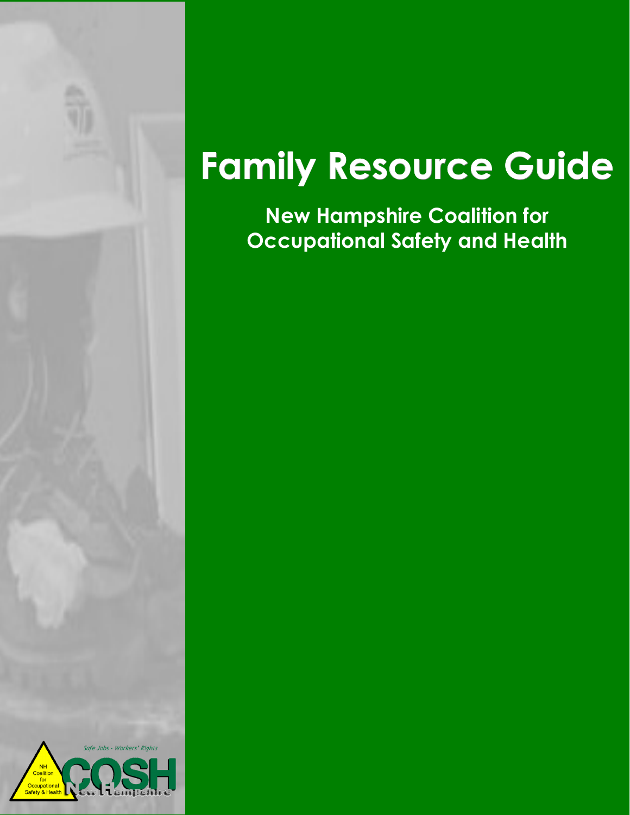

# **Family Resource Guide**

**New Hampshire Coalition for Occupational Safety and Health**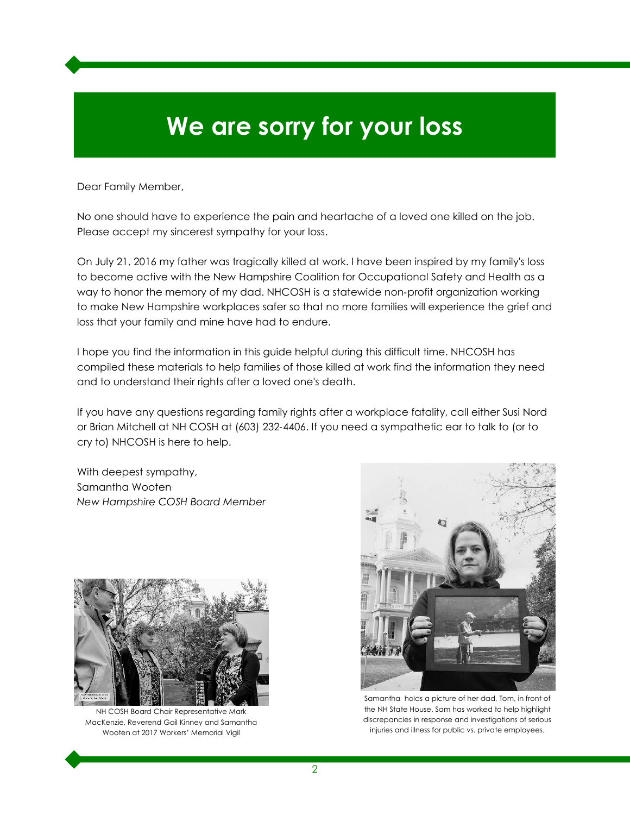# **We are sorry for your loss**

Dear Family Member,

No one should have to experience the pain and heartache of a loved one killed on the job. Please accept my sincerest sympathy for your loss.

On July 21, 2016 my father was tragically killed at work. I have been inspired by my family's loss to become active with the New Hampshire Coalition for Occupational Safety and Health as a way to honor the memory of my dad. NHCOSH is a statewide non-profit organization working to make New Hampshire workplaces safer so that no more families will experience the grief and loss that your family and mine have had to endure.

I hope you find the information in this guide helpful during this difficult time. NHCOSH has compiled these materials to help families of those killed at work find the information they need and to understand their rights after a loved one's death.

If you have any questions regarding family rights after a workplace fatality, call either Susi Nord or Brian Mitchell at NH COSH at (603) 232‑4406. If you need a sympathetic ear to talk to (or to cry to) NHCOSH is here to help.

With deepest sympathy, Samantha Wooten *New Hampshire COSH Board Member*



NH COSH Board Chair Representative Mark MacKenzie, Reverend Gail Kinney and Samantha Wooten at 2017 Workers' Memorial Vigil



Samantha holds a picture of her dad, Tom, in front of the NH State House. Sam has worked to help highlight discrepancies in response and investigations of serious injuries and illness for public vs. private employees.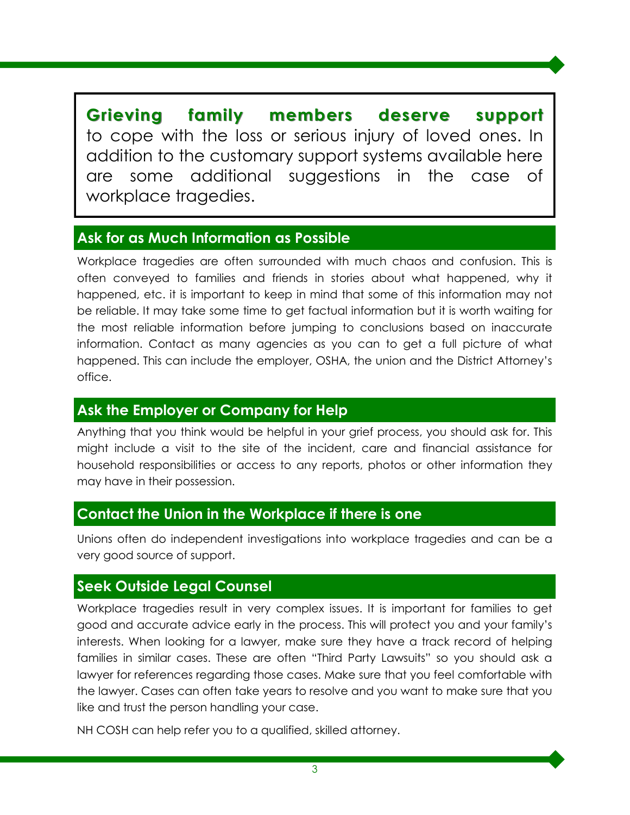**Grieving family members deserve support** to cope with the loss or serious injury of loved ones. In addition to the customary support systems available here are some additional suggestions in the case of workplace tragedies.

#### **Ask for as Much Information as Possible**

Workplace tragedies are often surrounded with much chaos and confusion. This is often conveyed to families and friends in stories about what happened, why it happened, etc. it is important to keep in mind that some of this information may not be reliable. It may take some time to get factual information but it is worth waiting for the most reliable information before jumping to conclusions based on inaccurate information. Contact as many agencies as you can to get a full picture of what happened. This can include the employer, OSHA, the union and the District Attorney's office.

#### **Ask the Employer or Company for Help**

Anything that you think would be helpful in your grief process, you should ask for. This might include a visit to the site of the incident, care and financial assistance for household responsibilities or access to any reports, photos or other information they may have in their possession.

#### **Contact the Union in the Workplace if there is one**

Unions often do independent investigations into workplace tragedies and can be a very good source of support.

#### **Seek Outside Legal Counsel**

Workplace tragedies result in very complex issues. It is important for families to get good and accurate advice early in the process. This will protect you and your family's interests. When looking for a lawyer, make sure they have a track record of helping families in similar cases. These are often "Third Party Lawsuits" so you should ask a lawyer for references regarding those cases. Make sure that you feel comfortable with the lawyer. Cases can often take years to resolve and you want to make sure that you like and trust the person handling your case.

NH COSH can help refer you to a qualified, skilled attorney.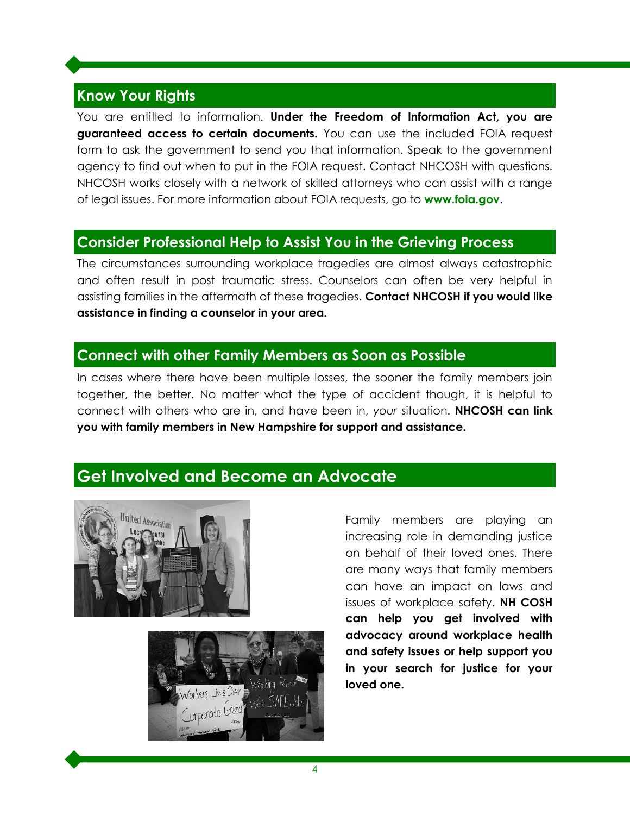#### **Know Your Rights**

You are entitled to information. **Under the Freedom of Information Act, you are guaranteed access to certain documents.** You can use the included FOIA request form to ask the government to send you that information. Speak to the government agency to find out when to put in the FOIA request. Contact NHCOSH with questions. NHCOSH works closely with a network of skilled attorneys who can assist with a range of legal issues. For more information about FOIA requests, go to **[www.foia.gov](https://www.foia.gov/)**.

#### **Consider Professional Help to Assist You in the Grieving Process**

The circumstances surrounding workplace tragedies are almost always catastrophic and often result in post traumatic stress. Counselors can often be very helpful in assisting families in the aftermath of these tragedies. **Contact NHCOSH if you would like assistance in finding a counselor in your area.**

#### **Connect with other Family Members as Soon as Possible**

In cases where there have been multiple losses, the sooner the family members join together, the better. No matter what the type of accident though, it is helpful to connect with others who are in, and have been in, *your* situation. **NHCOSH can link you with family members in New Hampshire for support and assistance.**

#### **Get Involved and Become an Advocate**





Family members are playing an increasing role in demanding justice on behalf of their loved ones. There are many ways that family members can have an impact on laws and issues of workplace safety. **NH COSH can help you get involved with advocacy around workplace health and safety issues or help support you in your search for justice for your loved one.**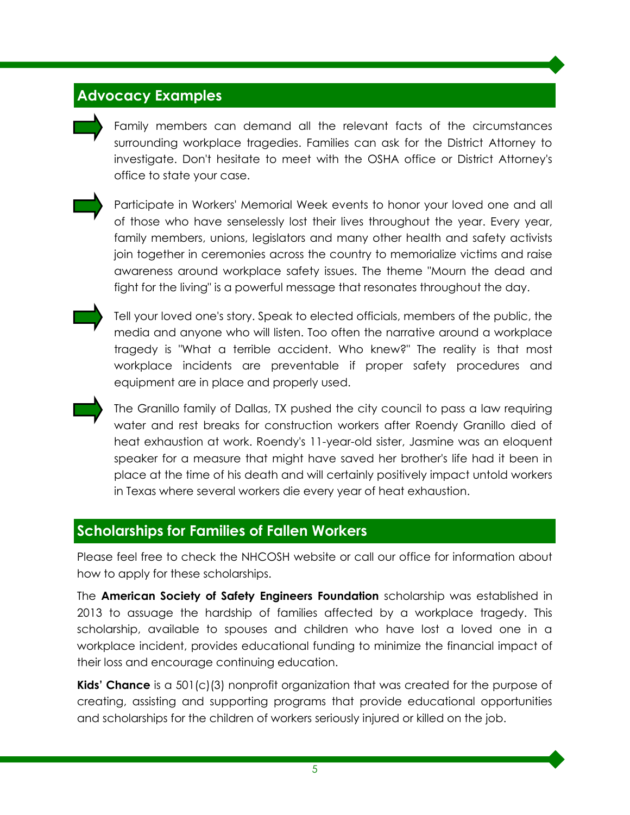#### **Advocacy Examples**

Family members can demand all the relevant facts of the circumstances surrounding workplace tragedies. Families can ask for the District Attorney to investigate. Don't hesitate to meet with the OSHA office or District Attorney's office to state your case.



Participate in Workers' Memorial Week events to honor your loved one and all of those who have senselessly lost their lives throughout the year. Every year, family members, unions, legislators and many other health and safety activists join together in ceremonies across the country to memorialize victims and raise awareness around workplace safety issues. The theme "Mourn the dead and fight for the living" is a powerful message that resonates throughout the day.



Tell your loved one's story. Speak to elected officials, members of the public, the media and anyone who will listen. Too often the narrative around a workplace tragedy is "What a terrible accident. Who knew?" The reality is that most workplace incidents are preventable if proper safety procedures and equipment are in place and properly used.

The Granillo family of Dallas, TX pushed the city council to pass a law requiring water and rest breaks for construction workers after Roendy Granillo died of heat exhaustion at work. Roendy's 11-year-old sister, Jasmine was an eloquent speaker for a measure that might have saved her brother's life had it been in place at the time of his death and will certainly positively impact untold workers in Texas where several workers die every year of heat exhaustion.

#### **Scholarships for Families of Fallen Workers**

Please feel free to check the NHCOSH website or call our office for information about how to apply for these scholarships.

The **American Society of Safety Engineers Foundation** scholarship was established in 2013 to assuage the hardship of families affected by a workplace tragedy. This scholarship, available to spouses and children who have lost a loved one in a workplace incident, provides educational funding to minimize the financial impact of their loss and encourage continuing education.

**Kids' Chance** is a 501(c)(3) nonprofit organization that was created for the purpose of creating, assisting and supporting programs that provide educational opportunities and scholarships for the children of workers seriously injured or killed on the job.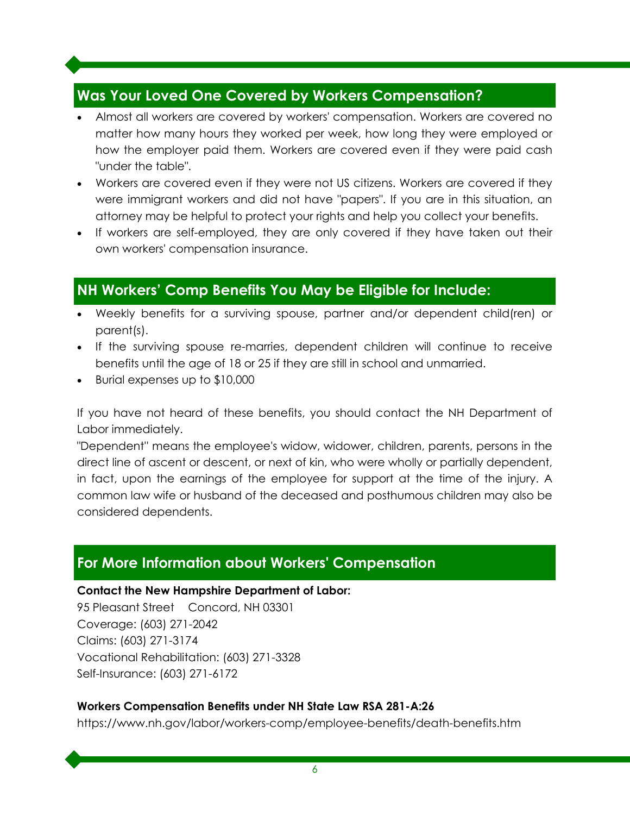#### **Was Your Loved One Covered by Workers Compensation?**

- Almost all workers are covered by workers' compensation. Workers are covered no matter how many hours they worked per week, how long they were employed or how the employer paid them. Workers are covered even if they were paid cash "under the table".
- Workers are covered even if they were not US citizens. Workers are covered if they were immigrant workers and did not have "papers". If you are in this situation, an attorney may be helpful to protect your rights and help you collect your benefits.
- If workers are self-employed, they are only covered if they have taken out their own workers' compensation insurance.

#### **NH Workers' Comp Benefits You May be Eligible for Include:**

- Weekly benefits for a surviving spouse, partner and/or dependent child(ren) or parent(s).
- If the surviving spouse re-marries, dependent children will continue to receive benefits until the age of 18 or 25 if they are still in school and unmarried.
- Burial expenses up to \$10,000

If you have not heard of these benefits, you should contact the NH Department of Labor immediately.

"Dependent'' means the employee's widow, widower, children, parents, persons in the direct line of ascent or descent, or next of kin, who were wholly or partially dependent, in fact, upon the earnings of the employee for support at the time of the injury. A common law wife or husband of the deceased and posthumous children may also be considered dependents.

#### **For More Information about Workers' Compensation**

#### **Contact the New Hampshire Department of Labor:**

95 Pleasant Street Concord, NH 03301 Coverage: (603) 271-2042 Claims: (603) 271-3174 Vocational Rehabilitation: (603) 271-3328 Self-Insurance: (603) 271-6172

#### **Workers Compensation Benefits under NH State Law RSA 281-A:26**

https://www.nh.gov/labor/workers-comp/employee-benefits/death-benefits.htm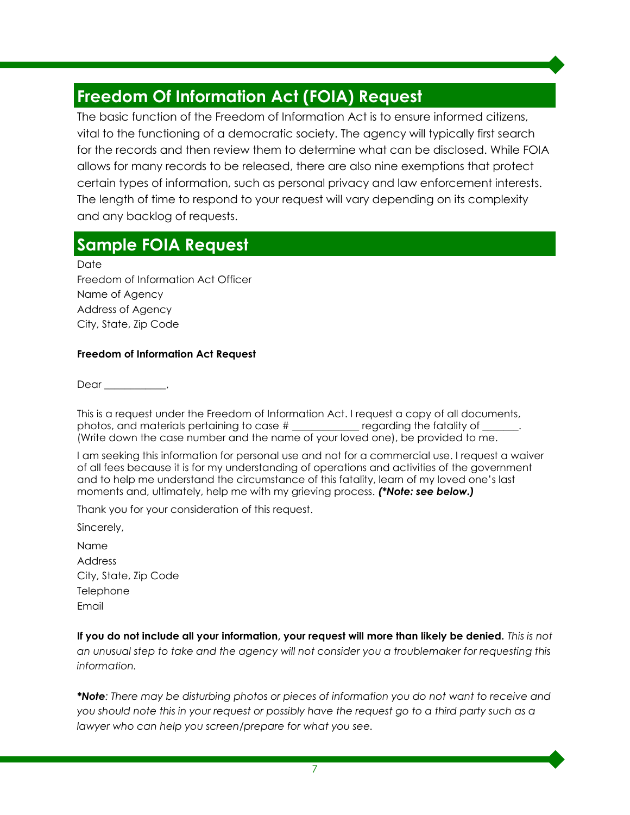# **Freedom Of Information Act (FOIA) Request**

The basic function of the Freedom of Information Act is to ensure informed citizens, vital to the functioning of a democratic society. The agency will typically first search for the records and then review them to determine what can be disclosed. While FOIA allows for many records to be released, there are also nine exemptions that protect certain types of information, such as personal privacy and law enforcement interests. The length of time to respond to your request will vary depending on its complexity and any backlog of requests.

## **Sample FOIA Request**

Date

Freedom of Information Act Officer Name of Agency Address of Agency City, State, Zip Code

#### **Freedom of Information Act Request**

Dear \_\_\_\_\_\_\_\_\_\_\_\_,

This is a request under the Freedom of Information Act. I request a copy of all documents, photos, and materials pertaining to case # \_\_\_\_\_\_\_\_\_\_\_\_\_ regarding the fatality of \_\_\_\_\_\_\_. (Write down the case number and the name of your loved one), be provided to me.

I am seeking this information for personal use and not for a commercial use. I request a waiver of all fees because it is for my understanding of operations and activities of the government and to help me understand the circumstance of this fatality, learn of my loved one's last moments and, ultimately, help me with my grieving process. *(\*Note: see below.)*

Thank you for your consideration of this request.

Sincerely,

Name Address City, State, Zip Code **Telephone** Email

**If you do not include all your information, your request will more than likely be denied.** *This is not an unusual step to take and the agency will not consider you a troublemaker for requesting this information.*

*\*Note: There may be disturbing photos or pieces of information you do not want to receive and you should note this in your request or possibly have the request go to a third party such as a lawyer who can help you screen/prepare for what you see.*